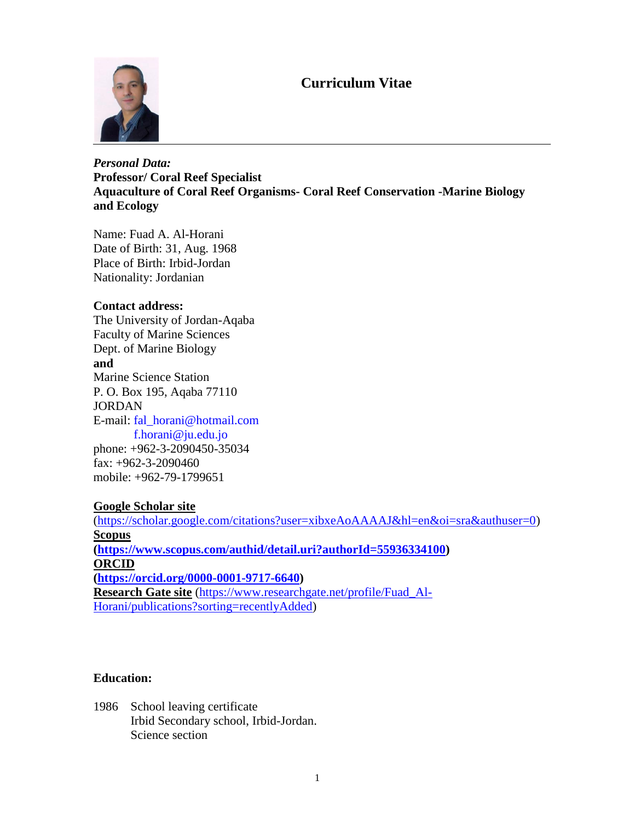# **Curriculum Vitae**



## *Personal Data:* **Professor/ Coral Reef Specialist Aquaculture of Coral Reef Organisms- Coral Reef Conservation -Marine Biology and Ecology**

Name: Fuad A. Al-Horani Date of Birth: 31, Aug. 1968 Place of Birth: Irbid-Jordan Nationality: Jordanian

### **Contact address:**

The University of Jordan-Aqaba Faculty of Marine Sciences Dept. of Marine Biology **and** Marine Science Station P. O. Box 195, Aqaba 77110 JORDAN E-mail: [fal\\_horani@hotmail.com](mailto:fal_horani@hotmail.com)  [f.horani@ju.edu.jo](mailto:f.horani@ju.edu.jo) phone: +962-3-2090450-35034 fax: +962-3-2090460 mobile: +962-79-1799651

### **Google Scholar site**

[\(https://scholar.google.com/citations?user=xibxeAoAAAAJ&hl=en&oi=sra&authuser=0\)](https://scholar.google.com/citations?user=xibxeAoAAAAJ&hl=en&oi=sra&authuser=0) **Scopus [\(https://www.scopus.com/authid/detail.uri?authorId=55936334100\)](https://www.scopus.com/authid/detail.uri?authorId=55936334100) ORCID [\(https://orcid.org/0000-0001-9717-6640\)](https://orcid.org/0000-0001-9717-6640) Research Gate site** [\(https://www.researchgate.net/profile/Fuad\\_Al-](https://www.researchgate.net/profile/Fuad_Al-Horani/publications?sorting=recentlyAdded)[Horani/publications?sorting=recentlyAdded\)](https://www.researchgate.net/profile/Fuad_Al-Horani/publications?sorting=recentlyAdded)

### **Education:**

1986 School leaving certificate Irbid Secondary school, Irbid-Jordan. Science section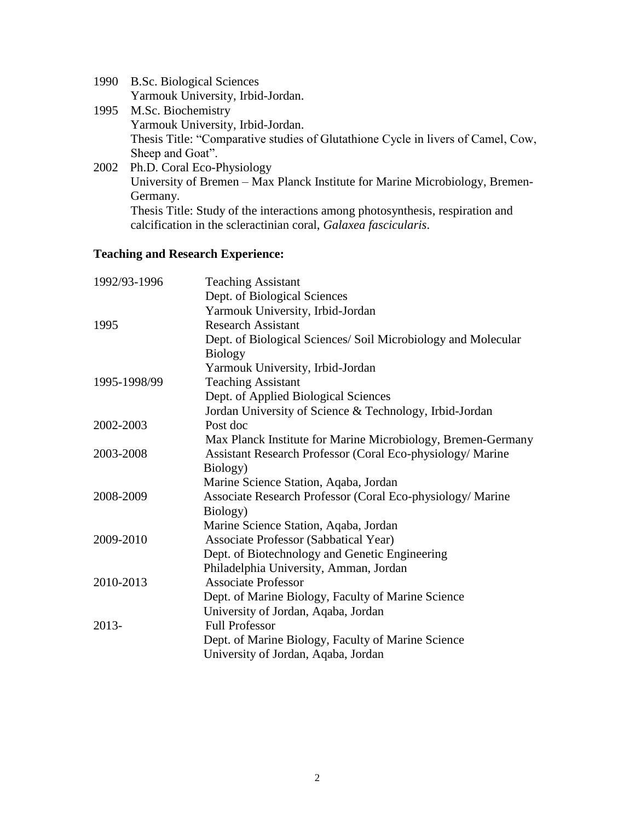| 1990 B.Sc. Biological Sciences    |
|-----------------------------------|
| Yarmouk University, Irbid-Jordan. |

- 1995 M.Sc. Biochemistry Yarmouk University, Irbid-Jordan. Thesis Title: "Comparative studies of Glutathione Cycle in livers of Camel, Cow, Sheep and Goat".
- 2002 Ph.D. Coral Eco-Physiology University of Bremen – Max Planck Institute for Marine Microbiology, Bremen-Germany. Thesis Title: Study of the interactions among photosynthesis, respiration and calcification in the scleractinian coral, *Galaxea fascicularis*.

### **Teaching and Research Experience:**

| 1992/93-1996 | <b>Teaching Assistant</b>                                     |
|--------------|---------------------------------------------------------------|
|              | Dept. of Biological Sciences                                  |
|              | Yarmouk University, Irbid-Jordan                              |
| 1995         | <b>Research Assistant</b>                                     |
|              | Dept. of Biological Sciences/ Soil Microbiology and Molecular |
|              | <b>Biology</b>                                                |
|              | Yarmouk University, Irbid-Jordan                              |
| 1995-1998/99 | <b>Teaching Assistant</b>                                     |
|              | Dept. of Applied Biological Sciences                          |
|              | Jordan University of Science & Technology, Irbid-Jordan       |
| 2002-2003    | Post doc                                                      |
|              | Max Planck Institute for Marine Microbiology, Bremen-Germany  |
| 2003-2008    | Assistant Research Professor (Coral Eco-physiology/ Marine    |
|              | Biology)                                                      |
|              | Marine Science Station, Aqaba, Jordan                         |
| 2008-2009    | Associate Research Professor (Coral Eco-physiology/Marine     |
|              | Biology)                                                      |
|              | Marine Science Station, Aqaba, Jordan                         |
| 2009-2010    | Associate Professor (Sabbatical Year)                         |
|              | Dept. of Biotechnology and Genetic Engineering                |
|              | Philadelphia University, Amman, Jordan                        |
| 2010-2013    | <b>Associate Professor</b>                                    |
|              | Dept. of Marine Biology, Faculty of Marine Science            |
|              | University of Jordan, Aqaba, Jordan                           |
| 2013-        | <b>Full Professor</b>                                         |
|              | Dept. of Marine Biology, Faculty of Marine Science            |
|              | University of Jordan, Aqaba, Jordan                           |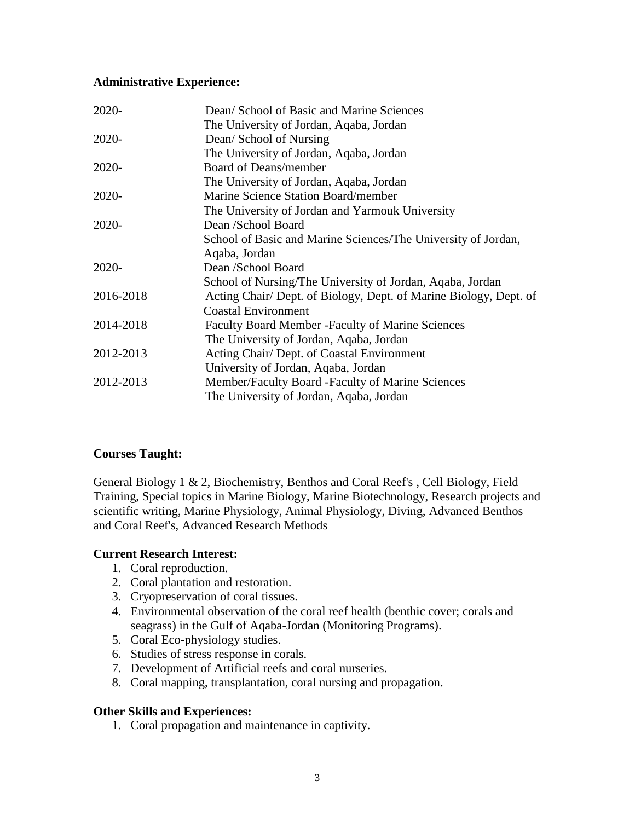### **Administrative Experience:**

| 2020-     | Dean/School of Basic and Marine Sciences                          |
|-----------|-------------------------------------------------------------------|
|           | The University of Jordan, Aqaba, Jordan                           |
| 2020-     | Dean/ School of Nursing                                           |
|           | The University of Jordan, Aqaba, Jordan                           |
| 2020-     | <b>Board of Deans/member</b>                                      |
|           | The University of Jordan, Aqaba, Jordan                           |
| 2020-     | Marine Science Station Board/member                               |
|           | The University of Jordan and Yarmouk University                   |
| 2020-     | Dean /School Board                                                |
|           | School of Basic and Marine Sciences/The University of Jordan,     |
|           | Aqaba, Jordan                                                     |
| 2020-     | Dean /School Board                                                |
|           | School of Nursing/The University of Jordan, Aqaba, Jordan         |
| 2016-2018 | Acting Chair/ Dept. of Biology, Dept. of Marine Biology, Dept. of |
|           | <b>Coastal Environment</b>                                        |
| 2014-2018 | <b>Faculty Board Member - Faculty of Marine Sciences</b>          |
|           | The University of Jordan, Aqaba, Jordan                           |
| 2012-2013 | Acting Chair/ Dept. of Coastal Environment                        |
|           | University of Jordan, Aqaba, Jordan                               |
| 2012-2013 | Member/Faculty Board -Faculty of Marine Sciences                  |
|           | The University of Jordan, Aqaba, Jordan                           |

## **Courses Taught:**

General Biology 1 & 2, Biochemistry, Benthos and Coral Reef's , Cell Biology, Field Training, Special topics in Marine Biology, Marine Biotechnology, Research projects and scientific writing, Marine Physiology, Animal Physiology, Diving, Advanced Benthos and Coral Reef's, Advanced Research Methods

## **Current Research Interest:**

- 1. Coral reproduction.
- 2. Coral plantation and restoration.
- 3. Cryopreservation of coral tissues.
- 4. Environmental observation of the coral reef health (benthic cover; corals and seagrass) in the Gulf of Aqaba-Jordan (Monitoring Programs).
- 5. Coral Eco-physiology studies.
- 6. Studies of stress response in corals.
- 7. Development of Artificial reefs and coral nurseries.
- 8. Coral mapping, transplantation, coral nursing and propagation.

### **Other Skills and Experiences:**

1. Coral propagation and maintenance in captivity.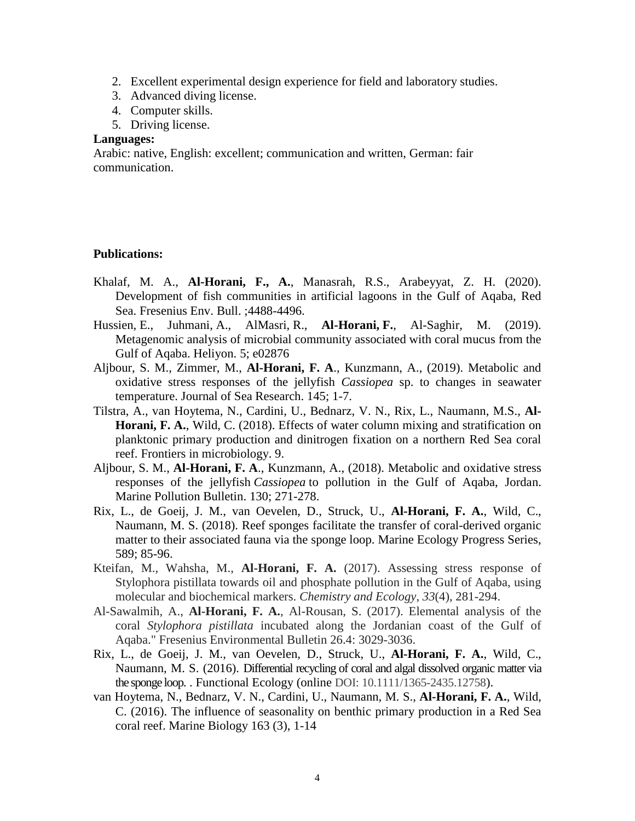- 2. Excellent experimental design experience for field and laboratory studies.
- 3. Advanced diving license.
- 4. Computer skills.
- 5. Driving license.

#### **Languages:**

Arabic: native, English: excellent; communication and written, German: fair communication.

#### **Publications:**

- Khalaf, M. A., **Al-Horani, F., A.**, Manasrah, R.S., Arabeyyat, Z. H. (2020). Development of fish communities in artificial lagoons in the Gulf of Aqaba, Red Sea. Fresenius Env. Bull. ;4488-4496.
- Hussien, E., Juhmani, A., AlMasri, R., **Al-Horani, F.**, Al-Saghir, M. (2019). [Metagenomic analysis of microbial community associated with coral mucus from the](https://www.sciencedirect.com/science/article/pii/S2405844019365351)  [Gulf of Aqaba.](https://www.sciencedirect.com/science/article/pii/S2405844019365351) [Heliyon.](https://www.sciencedirect.com/science/journal/24058440) 5; e02876
- Aljbour, S. M., Zimmer, M., **Al-Horani, F. A**., [Kunzmann,](https://www.sciencedirect.com/science/article/pii/S0025326X1830208X#!) A., (2019). [Metabolic and](https://www.sciencedirect.com/science/article/pii/S1385110117302526)  [oxidative stress responses of the jellyfish](https://www.sciencedirect.com/science/article/pii/S1385110117302526) *Cassiopea* sp. to changes in seawater [temperature.](https://www.sciencedirect.com/science/article/pii/S1385110117302526) Journal of Sea Research. 145; 1-7.
- Tilstra, A., van Hoytema, N., Cardini, U., Bednarz, V. N., Rix, L., Naumann, M.S., **Al-Horani, F. A.**, Wild, C. (2018). [Effects of water column mixing and stratification](javascript:void(0)) on [planktonic primary production and dinitrogen fixation on a northern Red Sea coral](javascript:void(0))  [reef.](javascript:void(0)) Frontiers in microbiology. 9.
- Aljbour, S. M., **Al-Horani, F. A**., [Kunzmann,](https://www.sciencedirect.com/science/article/pii/S0025326X1830208X#!) A., (2018). Metabolic and oxidative stress responses of the jellyfish *Cassiopea* to pollution in the Gulf of Aqaba, Jordan. Marine [Pollution Bulletin.](https://www.sciencedirect.com/science/journal/0025326X) [130;](https://www.sciencedirect.com/science/journal/0025326X/130/supp/C) 271-278.
- Rix, L., de Goeij, J. M., van Oevelen, D., Struck, U., **Al-Horani, F. A.**, Wild, C., Naumann, M. S. (2018). Reef sponges facilitate the transfer of coral-derived organic matter to their associated fauna via the sponge loop. Marine Ecology Progress Series, 589; 85-96.
- Kteifan, M., Wahsha, M., **Al-Horani, F. A.** (2017). Assessing stress response of Stylophora pistillata towards oil and phosphate pollution in the Gulf of Aqaba, using molecular and biochemical markers. *Chemistry and Ecology*, *33*(4), 281-294.
- Al-Sawalmih, A., **Al-Horani, F. A.**, Al-Rousan, S. (2017). Elemental analysis of the coral *Stylophora pistillata* incubated along the Jordanian coast of the Gulf of Aqaba." Fresenius Environmental Bulletin 26.4: 3029-3036.
- Rix, L., de Goeij, J. M., van Oevelen, D., Struck, U., **Al-Horani, F. A.**, Wild, C., Naumann, M. S. (2016). Differential recycling [of coral and algal dissolved organic matter via](http://www.functionalecology.org/details/journalArticle/9934881/Differential_recycling_of_coral_and_algal_dissolved_organic_matter_via_the_spong.html)  [the sponge loop.](http://www.functionalecology.org/details/journalArticle/9934881/Differential_recycling_of_coral_and_algal_dissolved_organic_matter_via_the_spong.html) . Functional Ecology (online DOI: 10.1111/1365-2435.12758).
- van Hoytema, N., Bednarz, V. N., Cardini, U., Naumann, M. S., **Al-Horani, F. A.**, Wild, C. (2016). [The influence of seasonality on benthic primary production in a Red Sea](https://scholar.google.com/citations?view_op=view_citation&hl=en&user=xibxeAoAAAAJ&cstart=20&pagesize=80&citation_for_view=xibxeAoAAAAJ:R3hNpaxXUhUC)  [coral reef.](https://scholar.google.com/citations?view_op=view_citation&hl=en&user=xibxeAoAAAAJ&cstart=20&pagesize=80&citation_for_view=xibxeAoAAAAJ:R3hNpaxXUhUC) Marine Biology 163 (3), 1-14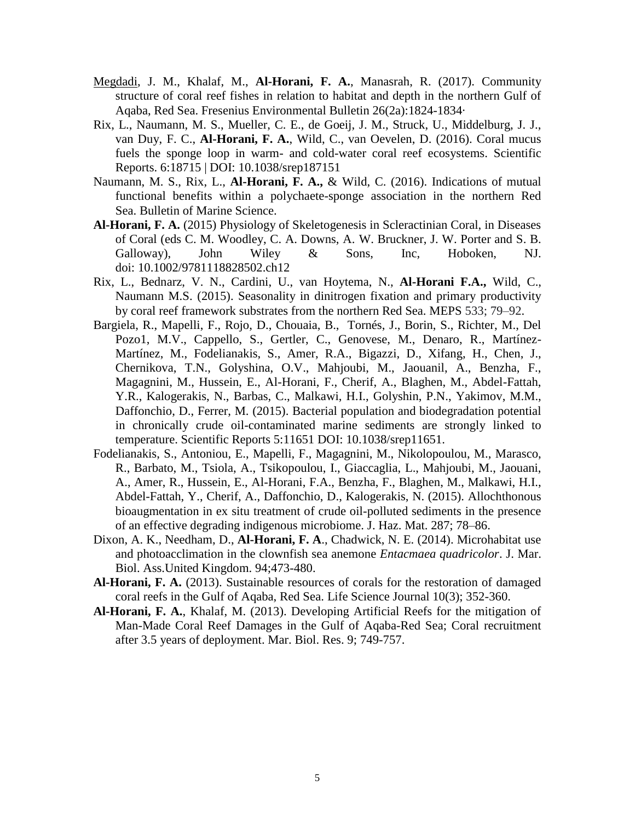- [Megdadi,](https://www.researchgate.net/researcher/2122249388_Jafar_M_Megdadi) J. M., Khalaf, M., **Al-Horani, F. A.**, Manasrah, R. (2017). Community structure of coral reef fishes in relation to habitat and depth in the northern Gulf of Aqaba, Red Sea. [Fresenius Environmental Bulletin](https://www.researchgate.net/journal/1018-4619_Fresenius_Environmental_Bulletin) 26(2a):1824-1834·
- Rix, L., Naumann, M. S., Mueller, C. E., de Goeij, J. M., Struck, U., Middelburg, J. J., van Duy, F. C., **Al-Horani, F. A.**, Wild, C., van Oevelen, D. (2016). Coral mucus fuels the sponge loop in warm- and cold-water coral reef ecosystems. Scientific Reports. 6:18715 | DOI: 10.1038/srep187151
- Naumann, M. S., Rix, L., **Al-Horani, F. A.,** & Wild, C. (2016). Indications of mutual functional benefits within a polychaete-sponge association in the northern Red Sea. Bulletin of Marine Science.
- **Al-Horani, F. A.** (2015) Physiology of Skeletogenesis in Scleractinian Coral, in Diseases of Coral (eds C. M. Woodley, C. A. Downs, A. W. Bruckner, J. W. Porter and S. B. Galloway), John Wiley & Sons, Inc, Hoboken, NJ. doi: 10.1002/9781118828502.ch12
- Rix, L., Bednarz, V. N., Cardini, U., van Hoytema, N., **Al-Horani F.A.,** Wild, C., Naumann M.S. (2015). Seasonality in dinitrogen fixation and primary productivity by coral reef framework substrates from the northern Red Sea. MEPS 533; 79–92.
- Bargiela, R., Mapelli, F., Rojo, D., Chouaia, B., Tornés, J., Borin, S., Richter, M., Del Pozo1, M.V., Cappello, S., Gertler, C., Genovese, M., Denaro, R., Martínez-Martínez, M., Fodelianakis, S., Amer, R.A., Bigazzi, D., Xifang, H., Chen, J., Chernikova, T.N., Golyshina, O.V., Mahjoubi, M., Jaouanil, A., Benzha, F., Magagnini, M., Hussein, E., Al-Horani, F., Cherif, A., Blaghen, M., Abdel-Fattah, Y.R., Kalogerakis, N., Barbas, C., Malkawi, H.I., Golyshin, P.N., Yakimov, M.M., Daffonchio, D., Ferrer, M. (2015). Bacterial population and biodegradation potential in chronically crude oil-contaminated marine sediments are strongly linked to temperature. Scientific Reports 5:11651 DOI: 10.1038/srep11651.
- Fodelianakis, S., Antoniou, E., Mapelli, F., Magagnini, M., Nikolopoulou, M., Marasco, R., Barbato, M., Tsiola, A., Tsikopoulou, I., Giaccaglia, L., Mahjoubi, M., Jaouani, A., Amer, R., Hussein, E., Al-Horani, F.A., Benzha, F., Blaghen, M., Malkawi, H.I., Abdel-Fattah, Y., Cherif, A., Daffonchio, D., Kalogerakis, N. (2015). Allochthonous bioaugmentation in ex situ treatment of crude oil-polluted sediments in the presence of an effective degrading indigenous microbiome. J. Haz. Mat. 287; 78–86.
- Dixon, A. K., Needham, D., **Al-Horani, F. A**., Chadwick, N. E. (2014). Microhabitat use and photoacclimation in the clownfish sea anemone *Entacmaea quadricolor*. J. Mar. Biol. Ass.United Kingdom. 94;473-480.
- **Al-Horani, F. A.** (2013). Sustainable resources of corals for the restoration of damaged coral reefs in the Gulf of Aqaba, Red Sea. Life Science Journal 10(3); 352-360.
- **Al-Horani, F. A.**, Khalaf, M. (2013). Developing Artificial Reefs for the mitigation of Man-Made Coral Reef Damages in the Gulf of Aqaba-Red Sea; Coral recruitment after 3.5 years of deployment. Mar. Biol. Res. 9; 749-757.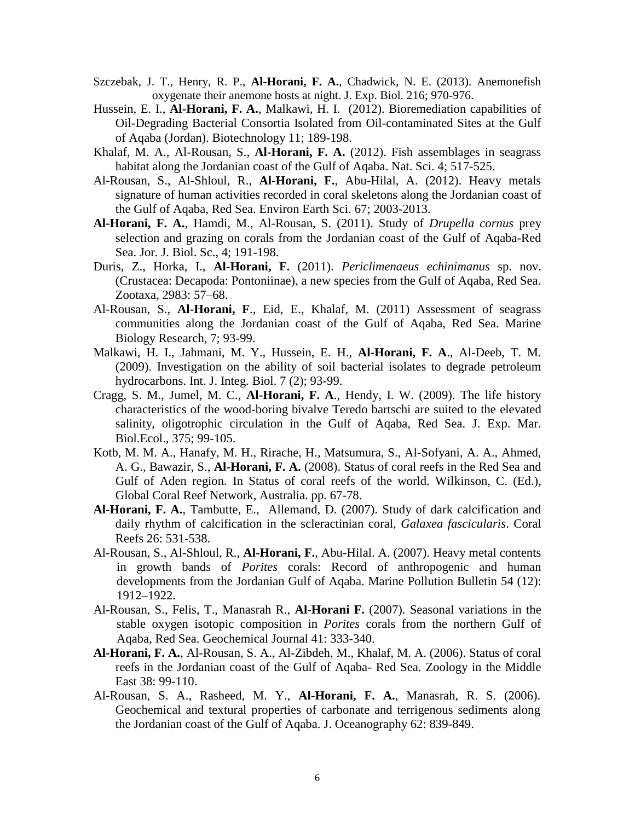- Szczebak, J. T., Henry, R. P., **Al-Horani, F. A.**, Chadwick, N. E. (2013). Anemonefish oxygenate their anemone hosts at night. J. Exp. Biol. 216; 970-976.
- Hussein, E. I., **Al-Horani, F. A.**, Malkawi, H. I. (2012). Bioremediation capabilities of Oil-Degrading Bacterial Consortia Isolated from Oil-contaminated Sites at the Gulf of Aqaba (Jordan). Biotechnology 11; 189-198.
- Khalaf, M. A., Al-Rousan, S., **Al-Horani, F. A.** (2012). Fish assemblages in seagrass habitat along the Jordanian coast of the Gulf of Aqaba. Nat. Sci. 4; 517-525.
- Al-Rousan, S., Al-Shloul, R., **Al-Horani, F.**, Abu-Hilal, A. (2012). Heavy metals signature of human activities recorded in coral skeletons along the Jordanian coast of the Gulf of Aqaba, Red Sea. Environ Earth Sci. 67; 2003-2013.
- **Al-Horani, F. A.**, Hamdi, M., Al-Rousan, S. (2011). Study of *Drupella cornus* prey selection and grazing on corals from the Jordanian coast of the Gulf of Aqaba-Red Sea. Jor. J. Biol. Sc., 4; 191-198.
- Duris, Z., Horka, I., **Al-Horani, F.** (2011). *Periclimenaeus echinimanus* sp. nov. (Crustacea: Decapoda: Pontoniinae), a new species from the Gulf of Aqaba, Red Sea. Zootaxa, 2983: 57–68.
- Al-Rousan, S., **Al-Horani, F**., Eid, E., Khalaf, M. (2011) Assessment of seagrass communities along the Jordanian coast of the Gulf of Aqaba, Red Sea. Marine Biology Research, 7; 93-99.
- Malkawi, H. I., Jahmani, M. Y., Hussein, E. H., **Al-Horani, F. A**., Al-Deeb, T. M. (2009). Investigation on the ability of soil bacterial isolates to degrade petroleum hydrocarbons. Int. J. Integ. Biol. 7 (2); 93-99.
- Cragg, S. M., Jumel, M. C., **Al-Horani, F. A**., Hendy, I. W. (2009). The life history characteristics of the wood-boring bivalve Teredo bartschi are suited to the elevated salinity, oligotrophic circulation in the Gulf of Aqaba, Red Sea. J. Exp. Mar. Biol.Ecol., 375; 99-105.
- Kotb, M. M. A., Hanafy, M. H., Rirache, H., Matsumura, S., Al-Sofyani, A. A., Ahmed, A. G., Bawazir, S., **Al-Horani, F. A.** (2008). Status of coral reefs in the Red Sea and Gulf of Aden region. In Status of coral reefs of the world. Wilkinson, C. (Ed.), Global Coral Reef Network, Australia. pp. 67-78.
- **Al-Horani, F. A.**, Tambutte, E., Allemand, D. (2007). Study of dark calcification and daily rhythm of calcification in the scleractinian coral, *Galaxea fascicularis*. Coral Reefs 26: 531-538.
- Al-Rousan, S., Al-Shloul, R., **Al-Horani, F.**, Abu-Hilal. A. (2007). Heavy metal contents in growth bands of *Porites* corals: Record of anthropogenic and human developments from the Jordanian Gulf of Aqaba. Marine Pollution Bulletin 54 (12): 1912–1922.
- Al-Rousan, S., Felis, T., Manasrah R., **Al-Horani F.** (2007). Seasonal variations in the stable oxygen isotopic composition in *Porites* corals from the northern Gulf of Aqaba, Red Sea. Geochemical Journal 41: 333-340.
- **Al-Horani, F. A.**, Al-Rousan, S. A., Al-Zibdeh, M., Khalaf, M. A. (2006). Status of coral reefs in the Jordanian coast of the Gulf of Aqaba- Red Sea. Zoology in the Middle East 38: 99-110.
- Al-Rousan, S. A., Rasheed, M. Y., **Al-Horani, F. A.**, Manasrah, R. S. (2006). Geochemical and textural properties of carbonate and terrigenous sediments along the Jordanian coast of the Gulf of Aqaba. J. Oceanography 62: 839-849.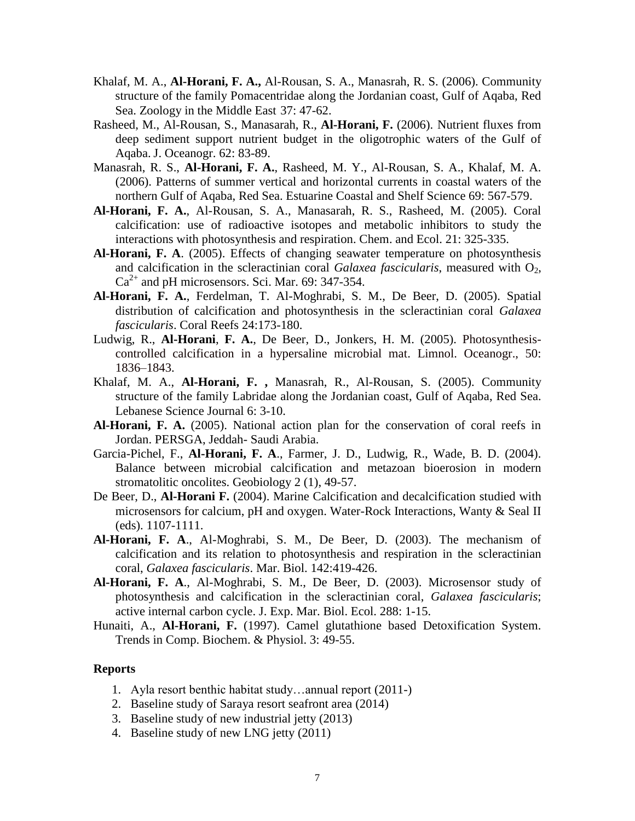- Khalaf, M. A., **Al-Horani, F. A.,** Al-Rousan, S. A., Manasrah, R. S. (2006). Community structure of the family Pomacentridae along the Jordanian coast, Gulf of Aqaba, Red Sea. Zoology in the Middle East 37: 47-62.
- Rasheed, M., Al-Rousan, S., Manasarah, R., **Al-Horani, F.** (2006). Nutrient fluxes from deep sediment support nutrient budget in the oligotrophic waters of the Gulf of Aqaba. J. Oceanogr. 62: 83-89.
- Manasrah, R. S., **Al-Horani, F. A.**, Rasheed, M. Y., Al-Rousan, S. A., Khalaf, M. A. (2006). Patterns of summer vertical and horizontal currents in coastal waters of the northern Gulf of Aqaba, Red Sea. Estuarine Coastal and Shelf Science 69: 567-579.
- **Al-Horani, F. A.**, Al-Rousan, S. A., Manasarah, R. S., Rasheed, M. (2005). Coral calcification: use of radioactive isotopes and metabolic inhibitors to study the interactions with photosynthesis and respiration. Chem. and Ecol. 21: 325-335.
- **Al-Horani, F. A**. (2005). Effects of changing seawater temperature on photosynthesis and calcification in the scleractinian coral *Galaxea fascicularis*, measured with O<sub>2</sub>,  $Ca<sup>2+</sup>$  and pH microsensors. Sci. Mar. 69: 347-354.
- **Al-Horani, F. A.**, Ferdelman, T. Al-Moghrabi, S. M., De Beer, D. (2005). Spatial distribution of calcification and photosynthesis in the scleractinian coral *Galaxea fascicularis*. Coral Reefs 24:173-180.
- Ludwig, R., **Al-Horani**, **F. A.**, De Beer, D., Jonkers, H. M. (2005). Photosynthesiscontrolled calcification in a hypersaline microbial mat. Limnol. Oceanogr., 50: 1836–1843.
- Khalaf, M. A., **Al-Horani, F. ,** Manasrah, R., Al-Rousan, S. (2005). Community structure of the family Labridae along the Jordanian coast, Gulf of Aqaba, Red Sea. Lebanese Science Journal 6: 3-10.
- **Al-Horani, F. A.** (2005). National action plan for the conservation of coral reefs in Jordan. PERSGA, Jeddah- Saudi Arabia.
- Garcia-Pichel, F., **Al-Horani, F. A**., Farmer, J. D., Ludwig, R., Wade, B. D. (2004). Balance between microbial calcification and metazoan bioerosion in modern stromatolitic oncolites. Geobiology 2 (1), 49-57.
- De Beer, D., **Al-Horani F.** (2004). Marine Calcification and decalcification studied with microsensors for calcium, pH and oxygen. Water-Rock Interactions, Wanty & Seal II (eds). 1107-1111.
- **Al-Horani, F. A**., Al-Moghrabi, S. M., De Beer, D. (2003). The mechanism of calcification and its relation to photosynthesis and respiration in the scleractinian coral, *Galaxea fascicularis*. Mar. Biol. 142:419-426.
- **Al-Horani, F. A**., Al-Moghrabi, S. M., De Beer, D. (2003). Microsensor study of photosynthesis and calcification in the scleractinian coral, *Galaxea fascicularis*; active internal carbon cycle. J. Exp. Mar. Biol. Ecol. 288: 1-15.
- Hunaiti, A., **Al-Horani, F.** (1997). Camel glutathione based Detoxification System. Trends in Comp. Biochem. & Physiol. 3: 49-55.

#### **Reports**

- 1. Ayla resort benthic habitat study…annual report (2011-)
- 2. Baseline study of Saraya resort seafront area (2014)
- 3. Baseline study of new industrial jetty (2013)
- 4. Baseline study of new LNG jetty (2011)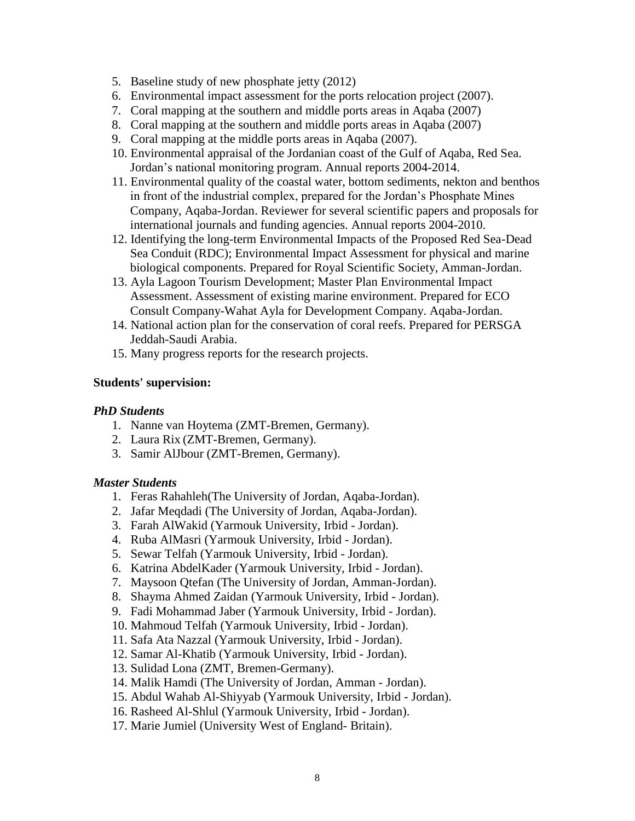- 5. Baseline study of new phosphate jetty (2012)
- 6. Environmental impact assessment for the ports relocation project (2007).
- 7. Coral mapping at the southern and middle ports areas in Aqaba (2007)
- 8. Coral mapping at the southern and middle ports areas in Aqaba (2007)
- 9. Coral mapping at the middle ports areas in Aqaba (2007).
- 10. Environmental appraisal of the Jordanian coast of the Gulf of Aqaba, Red Sea. Jordan's national monitoring program. Annual reports 2004-2014.
- 11. Environmental quality of the coastal water, bottom sediments, nekton and benthos in front of the industrial complex, prepared for the Jordan's Phosphate Mines Company, Aqaba-Jordan. Reviewer for several scientific papers and proposals for international journals and funding agencies. Annual reports 2004-2010.
- 12. Identifying the long-term Environmental Impacts of the Proposed Red Sea-Dead Sea Conduit (RDC); Environmental Impact Assessment for physical and marine biological components. Prepared for Royal Scientific Society, Amman-Jordan.
- 13. Ayla Lagoon Tourism Development; Master Plan Environmental Impact Assessment. Assessment of existing marine environment. Prepared for ECO Consult Company-Wahat Ayla for Development Company. Aqaba-Jordan.
- 14. National action plan for the conservation of coral reefs. Prepared for PERSGA Jeddah-Saudi Arabia.
- 15. Many progress reports for the research projects.

### **Students' supervision:**

### *PhD Students*

- 1. Nanne van Hoytema (ZMT-Bremen, Germany).
- 2. Laura Rix (ZMT-Bremen, Germany).
- 3. Samir AlJbour (ZMT-Bremen, Germany).

### *Master Students*

- 1. Feras Rahahleh(The University of Jordan, Aqaba-Jordan).
- 2. Jafar Meqdadi (The University of Jordan, Aqaba-Jordan).
- 3. Farah AlWakid (Yarmouk University, Irbid Jordan).
- 4. Ruba AlMasri (Yarmouk University, Irbid Jordan).
- 5. Sewar Telfah (Yarmouk University, Irbid Jordan).
- 6. Katrina AbdelKader (Yarmouk University, Irbid Jordan).
- 7. Maysoon Qtefan (The University of Jordan, Amman-Jordan).
- 8. Shayma Ahmed Zaidan (Yarmouk University, Irbid Jordan).
- 9. Fadi Mohammad Jaber (Yarmouk University, Irbid Jordan).
- 10. Mahmoud Telfah (Yarmouk University, Irbid Jordan).
- 11. Safa Ata Nazzal (Yarmouk University, Irbid Jordan).
- 12. Samar Al-Khatib (Yarmouk University, Irbid Jordan).
- 13. Sulidad Lona (ZMT, Bremen-Germany).
- 14. Malik Hamdi (The University of Jordan, Amman Jordan).
- 15. Abdul Wahab Al-Shiyyab (Yarmouk University, Irbid Jordan).
- 16. Rasheed Al-Shlul (Yarmouk University, Irbid Jordan).
- 17. Marie Jumiel (University West of England- Britain).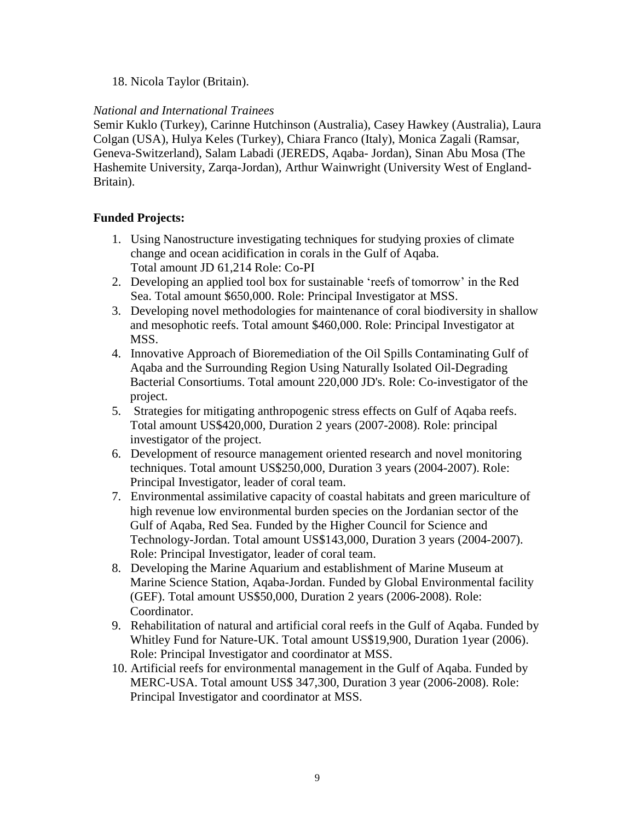### 18. Nicola Taylor (Britain).

### *National and International Trainees*

Semir Kuklo (Turkey), Carinne Hutchinson (Australia), Casey Hawkey (Australia), Laura Colgan (USA), Hulya Keles (Turkey), Chiara Franco (Italy), Monica Zagali (Ramsar, Geneva-Switzerland), Salam Labadi (JEREDS, Aqaba- Jordan), Sinan Abu Mosa (The Hashemite University, Zarqa-Jordan), Arthur Wainwright (University West of England-Britain).

### **Funded Projects:**

- 1. Using Nanostructure investigating techniques for studying proxies of climate change and ocean acidification in corals in the Gulf of Aqaba. Total amount JD 61,214 Role: Co-PI
- 2. Developing an applied tool box for sustainable 'reefs of tomorrow' in the Red Sea. Total amount \$650,000. Role: Principal Investigator at MSS.
- 3. Developing novel methodologies for maintenance of coral biodiversity in shallow and mesophotic reefs. Total amount \$460,000. Role: Principal Investigator at MSS.
- 4. Innovative Approach of Bioremediation of the Oil Spills Contaminating Gulf of Aqaba and the Surrounding Region Using Naturally Isolated Oil-Degrading Bacterial Consortiums. Total amount 220,000 JD's. Role: Co-investigator of the project.
- 5. Strategies for mitigating anthropogenic stress effects on Gulf of Aqaba reefs. Total amount US\$420,000, Duration 2 years (2007-2008). Role: principal investigator of the project.
- 6. Development of resource management oriented research and novel monitoring techniques. Total amount US\$250,000, Duration 3 years (2004-2007). Role: Principal Investigator, leader of coral team.
- 7. Environmental assimilative capacity of coastal habitats and green mariculture of high revenue low environmental burden species on the Jordanian sector of the Gulf of Aqaba, Red Sea. Funded by the Higher Council for Science and Technology-Jordan. Total amount US\$143,000, Duration 3 years (2004-2007). Role: Principal Investigator, leader of coral team.
- 8. Developing the Marine Aquarium and establishment of Marine Museum at Marine Science Station, Aqaba-Jordan. Funded by Global Environmental facility (GEF). Total amount US\$50,000, Duration 2 years (2006-2008). Role: Coordinator.
- 9. Rehabilitation of natural and artificial coral reefs in the Gulf of Aqaba. Funded by Whitley Fund for Nature-UK. Total amount US\$19,900, Duration 1year (2006). Role: Principal Investigator and coordinator at MSS.
- 10. Artificial reefs for environmental management in the Gulf of Aqaba. Funded by MERC-USA. Total amount US\$ 347,300, Duration 3 year (2006-2008). Role: Principal Investigator and coordinator at MSS.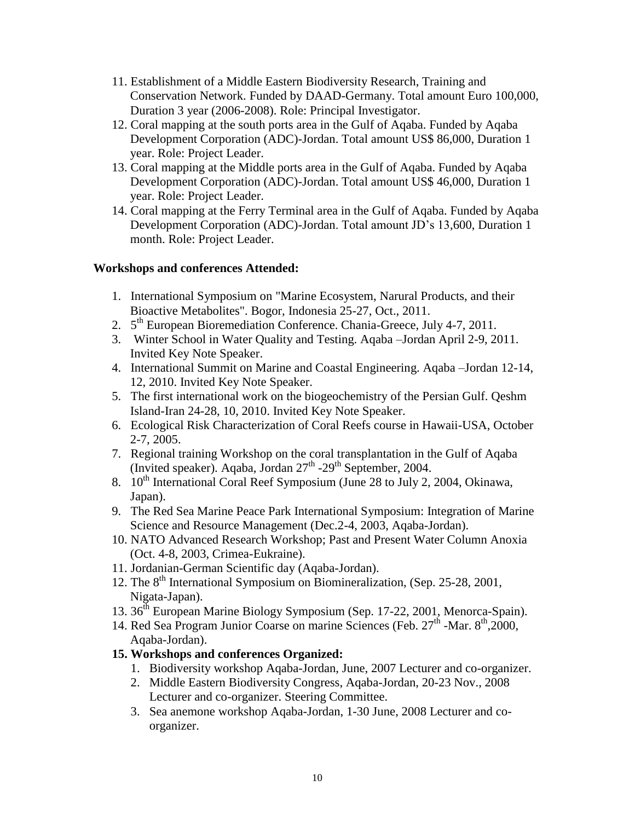- 11. Establishment of a Middle Eastern Biodiversity Research, Training and Conservation Network. Funded by DAAD-Germany. Total amount Euro 100,000, Duration 3 year (2006-2008). Role: Principal Investigator.
- 12. Coral mapping at the south ports area in the Gulf of Aqaba. Funded by Aqaba Development Corporation (ADC)-Jordan. Total amount US\$ 86,000, Duration 1 year. Role: Project Leader.
- 13. Coral mapping at the Middle ports area in the Gulf of Aqaba. Funded by Aqaba Development Corporation (ADC)-Jordan. Total amount US\$ 46,000, Duration 1 year. Role: Project Leader.
- 14. Coral mapping at the Ferry Terminal area in the Gulf of Aqaba. Funded by Aqaba Development Corporation (ADC)-Jordan. Total amount JD's 13,600, Duration 1 month. Role: Project Leader.

## **Workshops and conferences Attended:**

- 1. International Symposium on "Marine Ecosystem, Narural Products, and their Bioactive Metabolites". Bogor, Indonesia 25-27, Oct., 2011.
- 2. 5<sup>th</sup> European Bioremediation Conference. Chania-Greece, July 4-7, 2011.
- 3. Winter School in Water Quality and Testing. Aqaba –Jordan April 2-9, 2011. Invited Key Note Speaker.
- 4. International Summit on Marine and Coastal Engineering. Aqaba –Jordan 12-14, 12, 2010. Invited Key Note Speaker.
- 5. The first international work on the biogeochemistry of the Persian Gulf. Qeshm Island-Iran 24-28, 10, 2010. Invited Key Note Speaker.
- 6. Ecological Risk Characterization of Coral Reefs course in Hawaii-USA, October 2-7, 2005.
- 7. Regional training Workshop on the coral transplantation in the Gulf of Aqaba (Invited speaker). Aqaba, Jordan  $27<sup>th</sup>$  -29<sup>th</sup> September, 2004.
- 8.  $10^{th}$  International Coral Reef Symposium (June 28 to July 2, 2004, Okinawa, Japan).
- 9. The Red Sea Marine Peace Park International Symposium: Integration of Marine Science and Resource Management (Dec.2-4, 2003, Aqaba-Jordan).
- 10. NATO Advanced Research Workshop; Past and Present Water Column Anoxia (Oct. 4-8, 2003, Crimea-Eukraine).
- 11. Jordanian-German Scientific day (Aqaba-Jordan).
- 12. The  $8<sup>th</sup>$  International Symposium on Biomineralization, (Sep. 25-28, 2001, Nigata-Japan).
- 13. 36<sup>th</sup> European Marine Biology Symposium (Sep. 17-22, 2001, Menorca-Spain).
- 14. Red Sea Program Junior Coarse on marine Sciences (Feb. 27<sup>th</sup> -Mar. 8<sup>th</sup>,2000, Aqaba-Jordan).

# **15. Workshops and conferences Organized:**

- 1. Biodiversity workshop Aqaba-Jordan, June, 2007 Lecturer and co-organizer.
- 2. Middle Eastern Biodiversity Congress, Aqaba-Jordan, 20-23 Nov., 2008 Lecturer and co-organizer. Steering Committee.
- 3. Sea anemone workshop Aqaba-Jordan, 1-30 June, 2008 Lecturer and coorganizer.